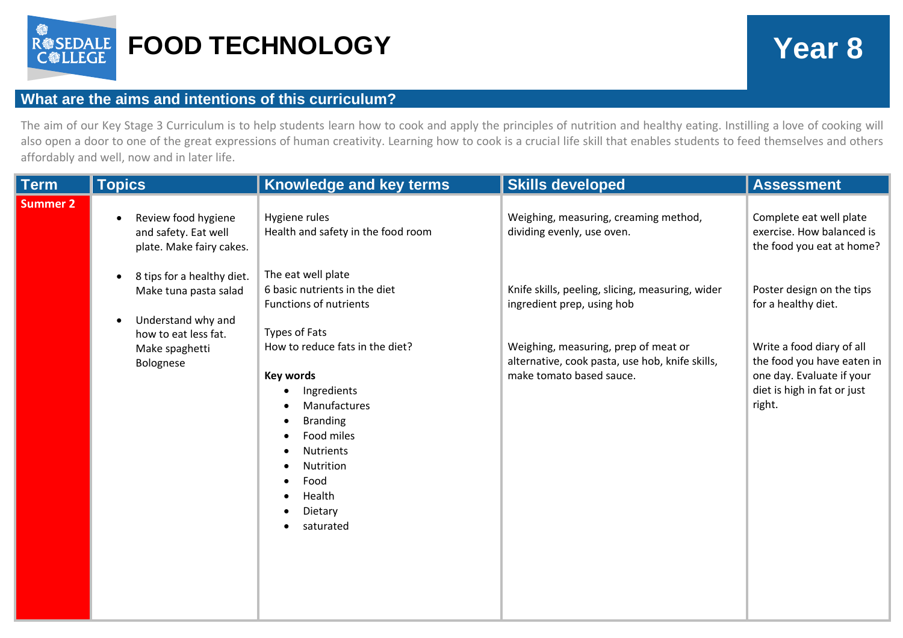

## **What are the aims and intentions of this curriculum?**

The aim of our Key Stage 3 Curriculum is to help students learn how to cook and apply the principles of nutrition and healthy eating. Instilling a love of cooking will also open a door to one of the great expressions of human creativity. Learning how to cook is a crucial life skill that enables students to feed themselves and others affordably and well, now and in later life.

| <b>Term</b> | <b>Topics</b>                                                                                                                   | Knowledge and key terms                                                                                                                                                                        | <b>Skills developed</b>                                                                                             | <b>Assessment</b>                                                                                                             |
|-------------|---------------------------------------------------------------------------------------------------------------------------------|------------------------------------------------------------------------------------------------------------------------------------------------------------------------------------------------|---------------------------------------------------------------------------------------------------------------------|-------------------------------------------------------------------------------------------------------------------------------|
| Summer 2    | Review food hygiene<br>$\bullet$<br>and safety. Eat well<br>plate. Make fairy cakes.<br>8 tips for a healthy diet.<br>$\bullet$ | Hygiene rules<br>Health and safety in the food room<br>The eat well plate                                                                                                                      | Weighing, measuring, creaming method,<br>dividing evenly, use oven.                                                 | Complete eat well plate<br>exercise. How balanced is<br>the food you eat at home?                                             |
|             | Make tuna pasta salad<br>Understand why and<br>$\bullet$<br>how to eat less fat.                                                | 6 basic nutrients in the diet<br><b>Functions of nutrients</b><br>Types of Fats                                                                                                                | Knife skills, peeling, slicing, measuring, wider<br>ingredient prep, using hob                                      | Poster design on the tips<br>for a healthy diet.                                                                              |
|             | Make spaghetti<br>Bolognese                                                                                                     | How to reduce fats in the diet?<br><b>Key words</b><br>Ingredients<br>Manufactures<br><b>Branding</b><br>Food miles<br><b>Nutrients</b><br>Nutrition<br>Food<br>Health<br>Dietary<br>saturated | Weighing, measuring, prep of meat or<br>alternative, cook pasta, use hob, knife skills,<br>make tomato based sauce. | Write a food diary of all<br>the food you have eaten in<br>one day. Evaluate if your<br>diet is high in fat or just<br>right. |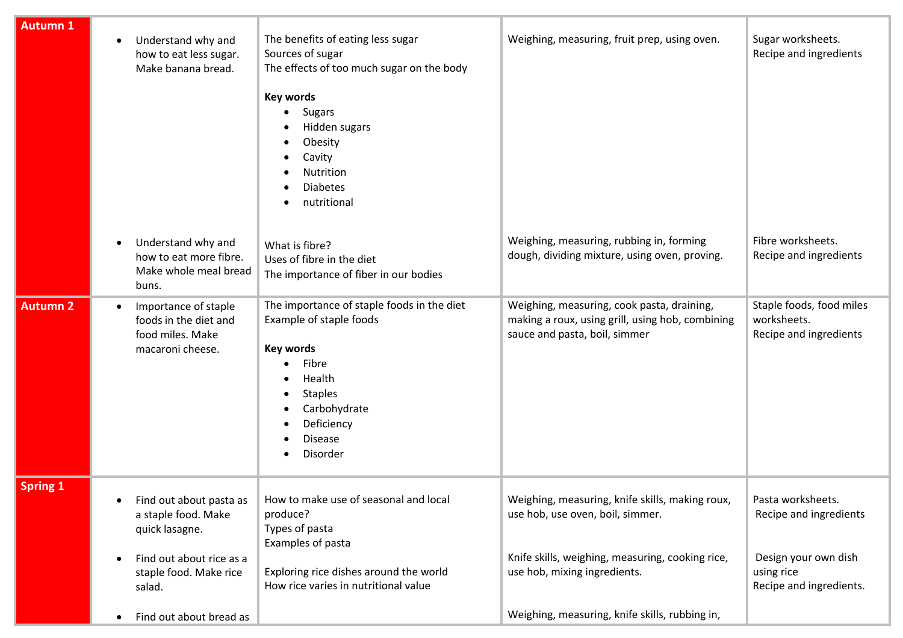| <b>Autumn 1</b> | Understand why and<br>$\bullet$<br>how to eat less sugar.<br>Make banana bread.                                                                                                                    | The benefits of eating less sugar<br>Sources of sugar<br>The effects of too much sugar on the body<br><b>Key words</b><br><b>Sugars</b><br>Hidden sugars<br>Obesity<br>Cavity<br>Nutrition<br><b>Diabetes</b><br>nutritional | Weighing, measuring, fruit prep, using oven.                                                                                                                                                                              | Sugar worksheets.<br>Recipe and ingredients                                                                  |
|-----------------|----------------------------------------------------------------------------------------------------------------------------------------------------------------------------------------------------|------------------------------------------------------------------------------------------------------------------------------------------------------------------------------------------------------------------------------|---------------------------------------------------------------------------------------------------------------------------------------------------------------------------------------------------------------------------|--------------------------------------------------------------------------------------------------------------|
|                 | Understand why and<br>$\bullet$<br>how to eat more fibre.<br>Make whole meal bread<br>buns.                                                                                                        | What is fibre?<br>Uses of fibre in the diet<br>The importance of fiber in our bodies                                                                                                                                         | Weighing, measuring, rubbing in, forming<br>dough, dividing mixture, using oven, proving.                                                                                                                                 | Fibre worksheets.<br>Recipe and ingredients                                                                  |
| <b>Autumn 2</b> | Importance of staple<br>$\bullet$<br>foods in the diet and<br>food miles. Make<br>macaroni cheese.                                                                                                 | The importance of staple foods in the diet<br>Example of staple foods<br><b>Key words</b><br>Fibre<br>Health<br><b>Staples</b><br>Carbohydrate<br>Deficiency<br><b>Disease</b><br>Disorder                                   | Weighing, measuring, cook pasta, draining,<br>making a roux, using grill, using hob, combining<br>sauce and pasta, boil, simmer                                                                                           | Staple foods, food miles<br>worksheets.<br>Recipe and ingredients                                            |
| <b>Spring 1</b> | Find out about pasta as<br>$\bullet$<br>a staple food. Make<br>quick lasagne.<br>Find out about rice as a<br>$\bullet$<br>staple food. Make rice<br>salad.<br>Find out about bread as<br>$\bullet$ | How to make use of seasonal and local<br>produce?<br>Types of pasta<br>Examples of pasta<br>Exploring rice dishes around the world<br>How rice varies in nutritional value                                                   | Weighing, measuring, knife skills, making roux,<br>use hob, use oven, boil, simmer.<br>Knife skills, weighing, measuring, cooking rice,<br>use hob, mixing ingredients.<br>Weighing, measuring, knife skills, rubbing in, | Pasta worksheets.<br>Recipe and ingredients<br>Design your own dish<br>using rice<br>Recipe and ingredients. |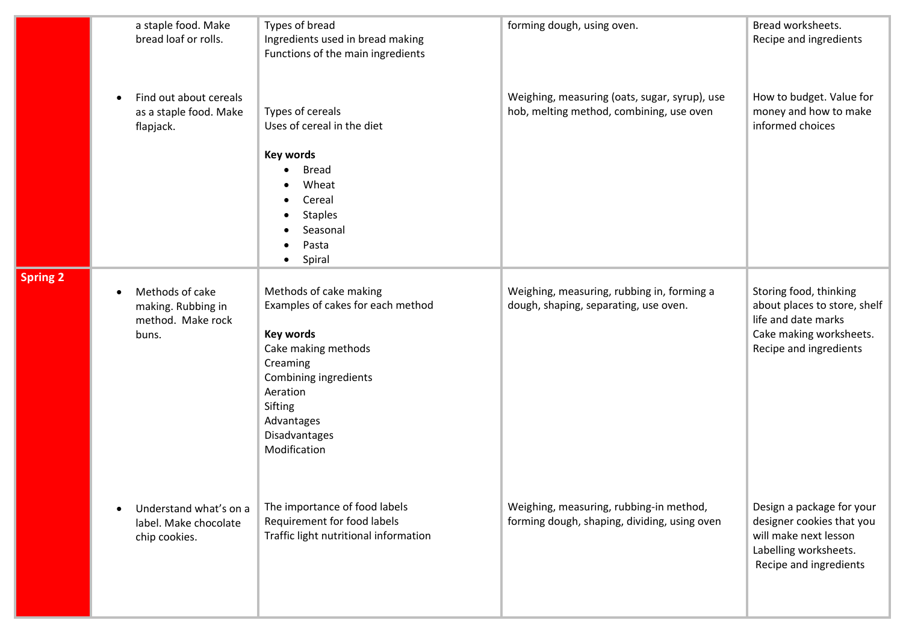|                 | a staple food. Make<br>bread loaf or rolls.                           | Types of bread<br>Ingredients used in bread making<br>Functions of the main ingredients                                                                                                                           | forming dough, using oven.                                                                | Bread worksheets.<br>Recipe and ingredients                                                                                        |
|-----------------|-----------------------------------------------------------------------|-------------------------------------------------------------------------------------------------------------------------------------------------------------------------------------------------------------------|-------------------------------------------------------------------------------------------|------------------------------------------------------------------------------------------------------------------------------------|
|                 | Find out about cereals<br>as a staple food. Make<br>flapjack.         | Types of cereals<br>Uses of cereal in the diet                                                                                                                                                                    | Weighing, measuring (oats, sugar, syrup), use<br>hob, melting method, combining, use oven | How to budget. Value for<br>money and how to make<br>informed choices                                                              |
|                 |                                                                       | <b>Key words</b><br><b>Bread</b><br>Wheat<br>Cereal<br><b>Staples</b><br>Seasonal<br>Pasta<br>Spiral                                                                                                              |                                                                                           |                                                                                                                                    |
| <b>Spring 2</b> | Methods of cake<br>making. Rubbing in<br>method. Make rock<br>buns.   | Methods of cake making<br>Examples of cakes for each method<br><b>Key words</b><br>Cake making methods<br>Creaming<br>Combining ingredients<br>Aeration<br>Sifting<br>Advantages<br>Disadvantages<br>Modification | Weighing, measuring, rubbing in, forming a<br>dough, shaping, separating, use oven.       | Storing food, thinking<br>about places to store, shelf<br>life and date marks<br>Cake making worksheets.<br>Recipe and ingredients |
|                 | Understand what's on a<br>٠<br>label. Make chocolate<br>chip cookies. | The importance of food labels<br>Requirement for food labels<br>Traffic light nutritional information                                                                                                             | Weighing, measuring, rubbing-in method,<br>forming dough, shaping, dividing, using oven   | Design a package for your<br>designer cookies that you<br>will make next lesson<br>Labelling worksheets.<br>Recipe and ingredients |